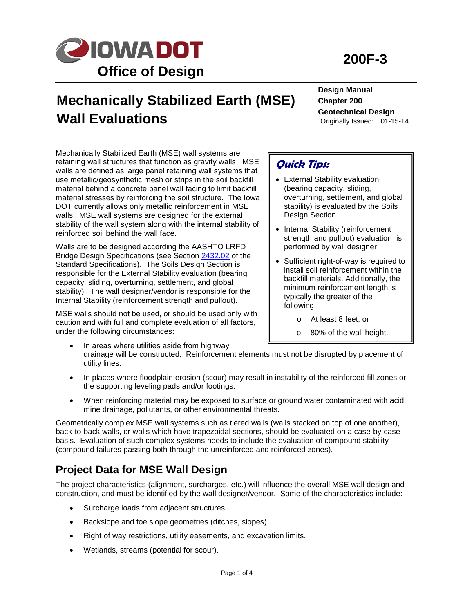

# **200F-3**

# **Mechanically Stabilized Earth (MSE) Wall Evaluations**

**Design Manual Chapter 200 Geotechnical Design** Originally Issued: 01-15-14

Mechanically Stabilized Earth (MSE) wall systems are retaining wall structures that function as gravity walls. MSE walls are defined as large panel retaining wall systems that use metallic/geosynthetic mesh or strips in the soil backfill material behind a concrete panel wall facing to limit backfill material stresses by reinforcing the soil structure. The Iowa DOT currently allows only metallic reinforcement in MSE walls. MSE wall systems are designed for the external stability of the wall system along with the internal stability of reinforced soil behind the wall face.

Walls are to be designed according the AASHTO LRFD Bridge Design Specifications (see Section [2432.02](http://www.iowadot.gov/erl/current/GS/content/2432.htm) of the Standard Specifications). The Soils Design Section is responsible for the External Stability evaluation (bearing capacity, sliding, overturning, settlement, and global stability). The wall designer/vendor is responsible for the Internal Stability (reinforcement strength and pullout).

MSE walls should not be used, or should be used only with caution and with full and complete evaluation of all factors, under the following circumstances:

## **Quick Tips:**

- External Stability evaluation (bearing capacity, sliding, overturning, settlement, and global stability) is evaluated by the Soils Design Section.
- Internal Stability (reinforcement strength and pullout) evaluation is performed by wall designer.
- Sufficient right-of-way is required to install soil reinforcement within the backfill materials. Additionally, the minimum reinforcement length is typically the greater of the following:
	- o At least 8 feet, or
	- o 80% of the wall height.
- In areas where utilities aside from highway drainage will be constructed. Reinforcement elements must not be disrupted by placement of utility lines.
- In places where floodplain erosion (scour) may result in instability of the reinforced fill zones or the supporting leveling pads and/or footings.
- When reinforcing material may be exposed to surface or ground water contaminated with acid mine drainage, pollutants, or other environmental threats.

Geometrically complex MSE wall systems such as tiered walls (walls stacked on top of one another), back-to-back walls, or walls which have trapezoidal sections, should be evaluated on a case-by-case basis. Evaluation of such complex systems needs to include the evaluation of compound stability (compound failures passing both through the unreinforced and reinforced zones).

# **Project Data for MSE Wall Design**

The project characteristics (alignment, surcharges, etc.) will influence the overall MSE wall design and construction, and must be identified by the wall designer/vendor. Some of the characteristics include:

- Surcharge loads from adjacent structures.
- Backslope and toe slope geometries (ditches, slopes).
- Right of way restrictions, utility easements, and excavation limits.
- Wetlands, streams (potential for scour).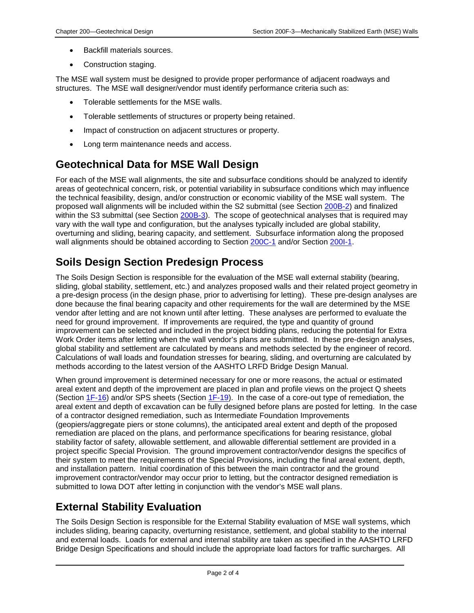- Backfill materials sources.
- Construction staging.

The MSE wall system must be designed to provide proper performance of adjacent roadways and structures. The MSE wall designer/vendor must identify performance criteria such as:

- Tolerable settlements for the MSE walls.
- Tolerable settlements of structures or property being retained.
- Impact of construction on adjacent structures or property.
- Long term maintenance needs and access.

## **Geotechnical Data for MSE Wall Design**

For each of the MSE wall alignments, the site and subsurface conditions should be analyzed to identify areas of geotechnical concern, risk, or potential variability in subsurface conditions which may influence the technical feasibility, design, and/or construction or economic viability of the MSE wall system. The proposed wall alignments will be included within the S2 submittal (see Section 200B-2) and finalized within the S3 submittal (see Section 200B-3). The scope of geotechnical analyses that is required may vary with the wall type and configuration, but the analyses typically included are global stability, overturning and sliding, bearing capacity, and settlement. Subsurface information along the proposed wall alignments should be obtained according to Section 200C-1 and/or Section 200I-1.

# **Soils Design Section Predesign Process**

The Soils Design Section is responsible for the evaluation of the MSE wall external stability (bearing, sliding, global stability, settlement, etc.) and analyzes proposed walls and their related project geometry in a pre-design process (in the design phase, prior to advertising for letting). These pre-design analyses are done because the final bearing capacity and other requirements for the wall are determined by the MSE vendor after letting and are not known until after letting. These analyses are performed to evaluate the need for ground improvement. If improvements are required, the type and quantity of ground improvement can be selected and included in the project bidding plans, reducing the potential for Extra Work Order items after letting when the wall vendor's plans are submitted. In these pre-design analyses, global stability and settlement are calculated by means and methods selected by the engineer of record. Calculations of wall loads and foundation stresses for bearing, sliding, and overturning are calculated by methods according to the latest version of the AASHTO LRFD Bridge Design Manual.

When ground improvement is determined necessary for one or more reasons, the actual or estimated areal extent and depth of the improvement are placed in plan and profile views on the project Q sheets (Section 1F-16) and/or SPS sheets (Section 1F-19). In the case of a core-out type of remediation, the areal extent and depth of excavation can be fully designed before plans are posted for letting. In the case of a contractor designed remediation, such as Intermediate Foundation Improvements (geopiers/aggregate piers or stone columns), the anticipated areal extent and depth of the proposed remediation are placed on the plans, and performance specifications for bearing resistance, global stability factor of safety, allowable settlement, and allowable differential settlement are provided in a project specific Special Provision. The ground improvement contractor/vendor designs the specifics of their system to meet the requirements of the Special Provisions, including the final areal extent, depth, and installation pattern. Initial coordination of this between the main contractor and the ground improvement contractor/vendor may occur prior to letting, but the contractor designed remediation is submitted to Iowa DOT after letting in conjunction with the vendor's MSE wall plans.

## **External Stability Evaluation**

The Soils Design Section is responsible for the External Stability evaluation of MSE wall systems, which includes sliding, bearing capacity, overturning resistance, settlement, and global stability to the internal and external loads. Loads for external and internal stability are taken as specified in the AASHTO LRFD Bridge Design Specifications and should include the appropriate load factors for traffic surcharges. All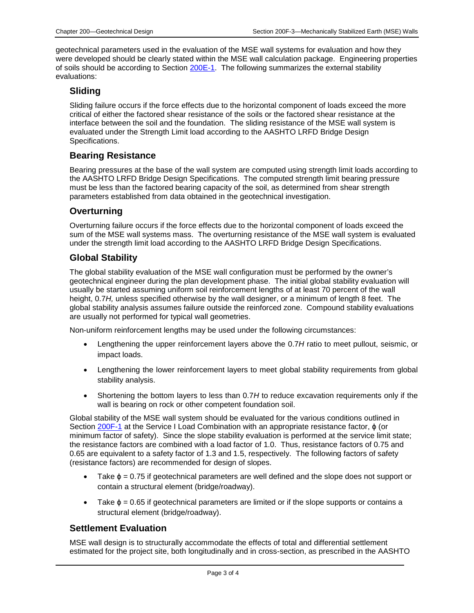geotechnical parameters used in the evaluation of the MSE wall systems for evaluation and how they were developed should be clearly stated within the MSE wall calculation package. Engineering properties of soils should be according to Section 200E-1. The following summarizes the external stability evaluations:

#### **Sliding**

Sliding failure occurs if the force effects due to the horizontal component of loads exceed the more critical of either the factored shear resistance of the soils or the factored shear resistance at the interface between the soil and the foundation. The sliding resistance of the MSE wall system is evaluated under the Strength Limit load according to the AASHTO LRFD Bridge Design Specifications.

#### **Bearing Resistance**

Bearing pressures at the base of the wall system are computed using strength limit loads according to the AASHTO LRFD Bridge Design Specifications. The computed strength limit bearing pressure must be less than the factored bearing capacity of the soil, as determined from shear strength parameters established from data obtained in the geotechnical investigation.

#### **Overturning**

Overturning failure occurs if the force effects due to the horizontal component of loads exceed the sum of the MSE wall systems mass. The overturning resistance of the MSE wall system is evaluated under the strength limit load according to the AASHTO LRFD Bridge Design Specifications.

#### **Global Stability**

The global stability evaluation of the MSE wall configuration must be performed by the owner's geotechnical engineer during the plan development phase. The initial global stability evaluation will usually be started assuming uniform soil reinforcement lengths of at least 70 percent of the wall height, 0.7*H,* unless specified otherwise by the wall designer, or a minimum of length 8 feet. The global stability analysis assumes failure outside the reinforced zone. Compound stability evaluations are usually not performed for typical wall geometries.

Non-uniform reinforcement lengths may be used under the following circumstances:

- Lengthening the upper reinforcement layers above the 0.7*H* ratio to meet pullout, seismic, or impact loads.
- Lengthening the lower reinforcement layers to meet global stability requirements from global stability analysis.
- Shortening the bottom layers to less than 0.7H to reduce excavation requirements only if the wall is bearing on rock or other competent foundation soil.

Global stability of the MSE wall system should be evaluated for the various conditions outlined in Section 200F-1 at the Service I Load Combination with an appropriate resistance factor,  $\phi$  (or minimum factor of safety). Since the slope stability evaluation is performed at the service limit state; the resistance factors are combined with a load factor of 1.0. Thus, resistance factors of 0.75 and 0.65 are equivalent to a safety factor of 1.3 and 1.5, respectively. The following factors of safety (resistance factors) are recommended for design of slopes.

- Take  $\phi = 0.75$  if geotechnical parameters are well defined and the slope does not support or contain a structural element (bridge/roadway).
- Take  $\phi = 0.65$  if geotechnical parameters are limited or if the slope supports or contains a structural element (bridge/roadway).

#### **Settlement Evaluation**

MSE wall design is to structurally accommodate the effects of total and differential settlement estimated for the project site, both longitudinally and in cross-section, as prescribed in the AASHTO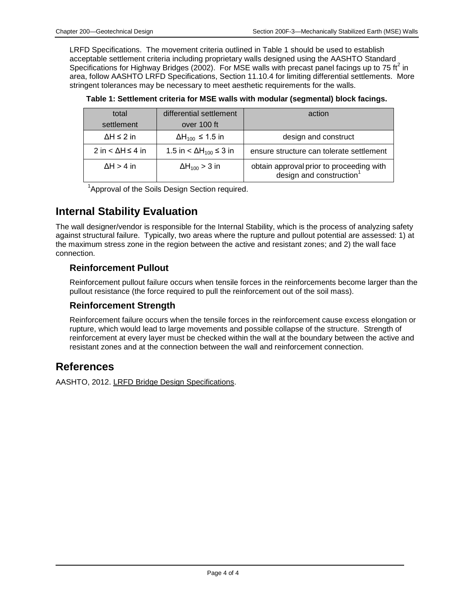LRFD Specifications. The movement criteria outlined in Table 1 should be used to establish acceptable settlement criteria including proprietary walls designed using the AASHTO Standard Specifications for Highway Bridges (2002). For MSE walls with precast panel facings up to 75 ft<sup>2</sup> in area, follow AASHTO LRFD Specifications, Section 11.10.4 for limiting differential settlements. More stringent tolerances may be necessary to meet aesthetic requirements for the walls.

| total                | differential settlement             | action                                                                           |
|----------------------|-------------------------------------|----------------------------------------------------------------------------------|
| settlement           | over 100 ft                         |                                                                                  |
| $\Delta H \leq 2$ in | $\Delta H_{100} \leq 1.5$ in        | design and construct                                                             |
| 2 in $<$ ∆H ≤ 4 in   | $1.5$ in < ΔH <sub>100</sub> ≤ 3 in | ensure structure can tolerate settlement                                         |
| $\Delta H > 4$ in    | $\Delta H_{100} > 3$ in             | obtain approval prior to proceeding with<br>design and construction <sup>1</sup> |

**Table 1: Settlement criteria for MSE walls with modular (segmental) block facings.**

<sup>1</sup>Approval of the Soils Design Section required.

### **Internal Stability Evaluation**

The wall designer/vendor is responsible for the Internal Stability, which is the process of analyzing safety against structural failure. Typically, two areas where the rupture and pullout potential are assessed: 1) at the maximum stress zone in the region between the active and resistant zones; and 2) the wall face connection.

#### **Reinforcement Pullout**

Reinforcement pullout failure occurs when tensile forces in the reinforcements become larger than the pullout resistance (the force required to pull the reinforcement out of the soil mass).

#### **Reinforcement Strength**

Reinforcement failure occurs when the tensile forces in the reinforcement cause excess elongation or rupture, which would lead to large movements and possible collapse of the structure. Strength of reinforcement at every layer must be checked within the wall at the boundary between the active and resistant zones and at the connection between the wall and reinforcement connection.

### **References**

AASHTO, 2012. LRFD Bridge Design Specifications.